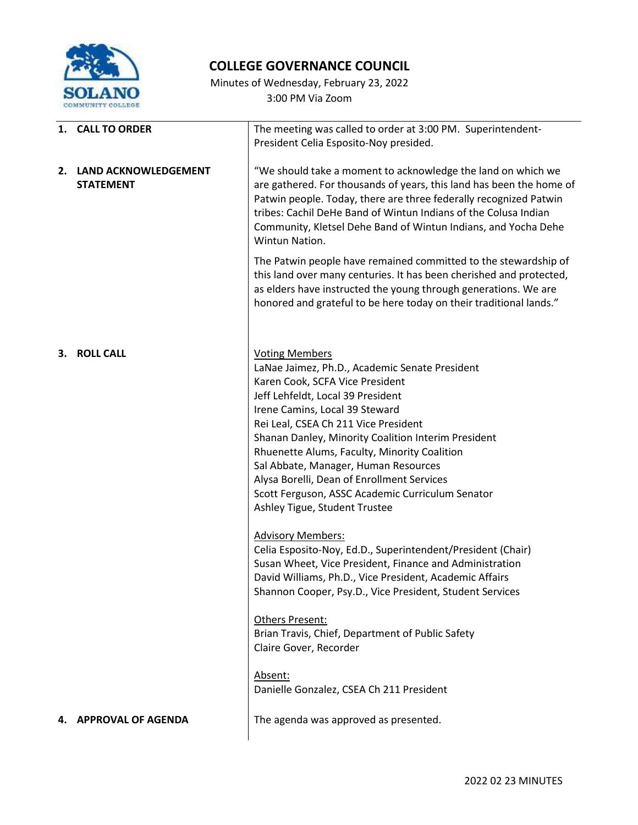

## **COLLEGE GOVERNANCE COUNCIL**

Minutes of Wednesday, February 23, 2022 3:00 PM Via Zoom

| 1. CALL TO ORDER                            |                                                                                                                                                                                                                                                                                                                                                                                                                                                                                                             |  |  |
|---------------------------------------------|-------------------------------------------------------------------------------------------------------------------------------------------------------------------------------------------------------------------------------------------------------------------------------------------------------------------------------------------------------------------------------------------------------------------------------------------------------------------------------------------------------------|--|--|
|                                             | The meeting was called to order at 3:00 PM. Superintendent-<br>President Celia Esposito-Noy presided.                                                                                                                                                                                                                                                                                                                                                                                                       |  |  |
| 2. LAND ACKNOWLEDGEMENT<br><b>STATEMENT</b> | "We should take a moment to acknowledge the land on which we<br>are gathered. For thousands of years, this land has been the home of<br>Patwin people. Today, there are three federally recognized Patwin<br>tribes: Cachil DeHe Band of Wintun Indians of the Colusa Indian<br>Community, Kletsel Dehe Band of Wintun Indians, and Yocha Dehe<br>Wintun Nation.                                                                                                                                            |  |  |
|                                             | The Patwin people have remained committed to the stewardship of<br>this land over many centuries. It has been cherished and protected,<br>as elders have instructed the young through generations. We are<br>honored and grateful to be here today on their traditional lands."                                                                                                                                                                                                                             |  |  |
| 3. ROLL CALL                                | <b>Voting Members</b><br>LaNae Jaimez, Ph.D., Academic Senate President<br>Karen Cook, SCFA Vice President<br>Jeff Lehfeldt, Local 39 President<br>Irene Camins, Local 39 Steward<br>Rei Leal, CSEA Ch 211 Vice President<br>Shanan Danley, Minority Coalition Interim President<br>Rhuenette Alums, Faculty, Minority Coalition<br>Sal Abbate, Manager, Human Resources<br>Alysa Borelli, Dean of Enrollment Services<br>Scott Ferguson, ASSC Academic Curriculum Senator<br>Ashley Tigue, Student Trustee |  |  |
|                                             | <b>Advisory Members:</b><br>Celia Esposito-Noy, Ed.D., Superintendent/President (Chair)<br>Susan Wheet, Vice President, Finance and Administration<br>David Williams, Ph.D., Vice President, Academic Affairs<br>Shannon Cooper, Psy.D., Vice President, Student Services                                                                                                                                                                                                                                   |  |  |
|                                             | <b>Others Present:</b><br>Brian Travis, Chief, Department of Public Safety<br>Claire Gover, Recorder                                                                                                                                                                                                                                                                                                                                                                                                        |  |  |
|                                             | Absent:<br>Danielle Gonzalez, CSEA Ch 211 President                                                                                                                                                                                                                                                                                                                                                                                                                                                         |  |  |
| <b>APPROVAL OF AGENDA</b>                   | The agenda was approved as presented.                                                                                                                                                                                                                                                                                                                                                                                                                                                                       |  |  |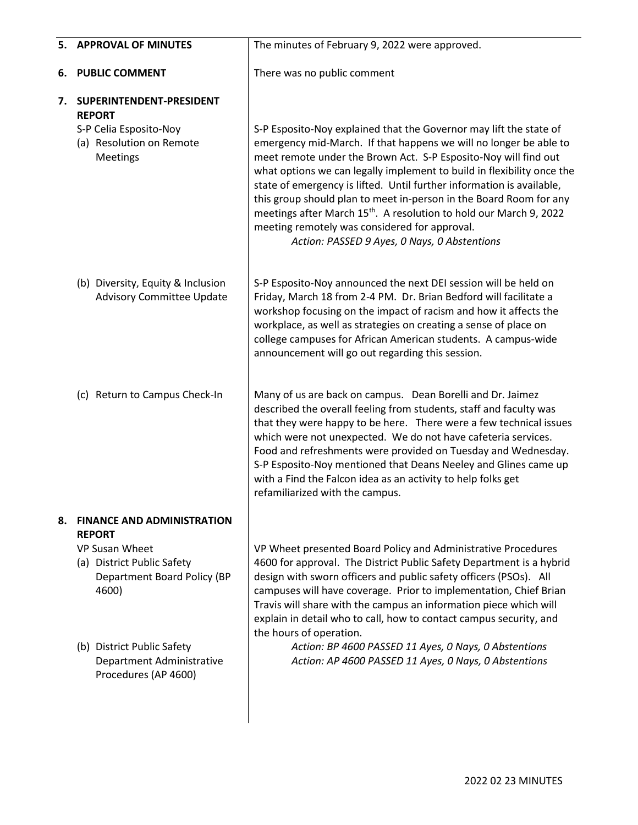| 5. | <b>APPROVAL OF MINUTES</b>                                                                                                                                                                                                    | The minutes of February 9, 2022 were approved.                                                                                                                                                                                                                                                                                                                                                                                                                                                                                                                                                                         |  |
|----|-------------------------------------------------------------------------------------------------------------------------------------------------------------------------------------------------------------------------------|------------------------------------------------------------------------------------------------------------------------------------------------------------------------------------------------------------------------------------------------------------------------------------------------------------------------------------------------------------------------------------------------------------------------------------------------------------------------------------------------------------------------------------------------------------------------------------------------------------------------|--|
| 6. | <b>PUBLIC COMMENT</b>                                                                                                                                                                                                         | There was no public comment                                                                                                                                                                                                                                                                                                                                                                                                                                                                                                                                                                                            |  |
| 7. | SUPERINTENDENT-PRESIDENT<br><b>REPORT</b><br>S-P Celia Esposito-Noy<br>(a) Resolution on Remote<br>Meetings                                                                                                                   | S-P Esposito-Noy explained that the Governor may lift the state of<br>emergency mid-March. If that happens we will no longer be able to<br>meet remote under the Brown Act. S-P Esposito-Noy will find out<br>what options we can legally implement to build in flexibility once the<br>state of emergency is lifted. Until further information is available,<br>this group should plan to meet in-person in the Board Room for any<br>meetings after March 15 <sup>th</sup> . A resolution to hold our March 9, 2022<br>meeting remotely was considered for approval.<br>Action: PASSED 9 Ayes, 0 Nays, 0 Abstentions |  |
|    | (b) Diversity, Equity & Inclusion<br><b>Advisory Committee Update</b>                                                                                                                                                         | S-P Esposito-Noy announced the next DEI session will be held on<br>Friday, March 18 from 2-4 PM. Dr. Brian Bedford will facilitate a<br>workshop focusing on the impact of racism and how it affects the<br>workplace, as well as strategies on creating a sense of place on<br>college campuses for African American students. A campus-wide<br>announcement will go out regarding this session.                                                                                                                                                                                                                      |  |
|    | (c) Return to Campus Check-In                                                                                                                                                                                                 | Many of us are back on campus. Dean Borelli and Dr. Jaimez<br>described the overall feeling from students, staff and faculty was<br>that they were happy to be here. There were a few technical issues<br>which were not unexpected. We do not have cafeteria services.<br>Food and refreshments were provided on Tuesday and Wednesday.<br>S-P Esposito-Noy mentioned that Deans Neeley and Glines came up<br>with a Find the Falcon idea as an activity to help folks get<br>refamiliarized with the campus.                                                                                                         |  |
| 8. | <b>FINANCE AND ADMINISTRATION</b><br><b>REPORT</b><br>VP Susan Wheet<br>(a) District Public Safety<br>Department Board Policy (BP<br>4600)<br>(b) District Public Safety<br>Department Administrative<br>Procedures (AP 4600) | VP Wheet presented Board Policy and Administrative Procedures<br>4600 for approval. The District Public Safety Department is a hybrid<br>design with sworn officers and public safety officers (PSOs). All<br>campuses will have coverage. Prior to implementation, Chief Brian<br>Travis will share with the campus an information piece which will<br>explain in detail who to call, how to contact campus security, and<br>the hours of operation.<br>Action: BP 4600 PASSED 11 Ayes, 0 Nays, 0 Abstentions<br>Action: AP 4600 PASSED 11 Ayes, 0 Nays, 0 Abstentions                                                |  |